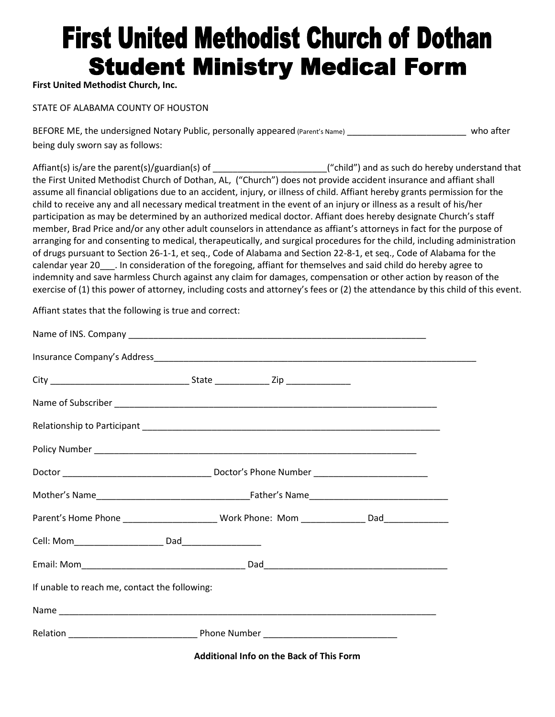## **First United Methodist Church of Dothan Student Ministry Medical Form**

**First United Methodist Church, Inc.** 

STATE OF ALABAMA COUNTY OF HOUSTON

BEFORE ME, the undersigned Notary Public, personally appeared (Parent's Name) exactled the state who after being duly sworn say as follows:

Affiant(s) is/are the parent(s)/guardian(s) of \_\_\_\_\_\_\_\_\_\_\_\_\_\_\_\_\_\_\_\_\_\_\_\_\_\_("child") and as such do hereby understand that the First United Methodist Church of Dothan, AL, ("Church") does not provide accident insurance and affiant shall assume all financial obligations due to an accident, injury, or illness of child. Affiant hereby grants permission for the child to receive any and all necessary medical treatment in the event of an injury or illness as a result of his/her participation as may be determined by an authorized medical doctor. Affiant does hereby designate Church's staff member, Brad Price and/or any other adult counselors in attendance as affiant's attorneys in fact for the purpose of arranging for and consenting to medical, therapeutically, and surgical procedures for the child, including administration of drugs pursuant to Section 26-1-1, et seq., Code of Alabama and Section 22-8-1, et seq., Code of Alabama for the calendar year 20\_\_\_. In consideration of the foregoing, affiant for themselves and said child do hereby agree to indemnity and save harmless Church against any claim for damages, compensation or other action by reason of the exercise of (1) this power of attorney, including costs and attorney's fees or (2) the attendance by this child of this event.

Affiant states that the following is true and correct:

| If unable to reach me, contact the following: |  |                                                 |  |
|-----------------------------------------------|--|-------------------------------------------------|--|
|                                               |  |                                                 |  |
|                                               |  |                                                 |  |
|                                               |  | <b>Additional Info on the Back of This Form</b> |  |